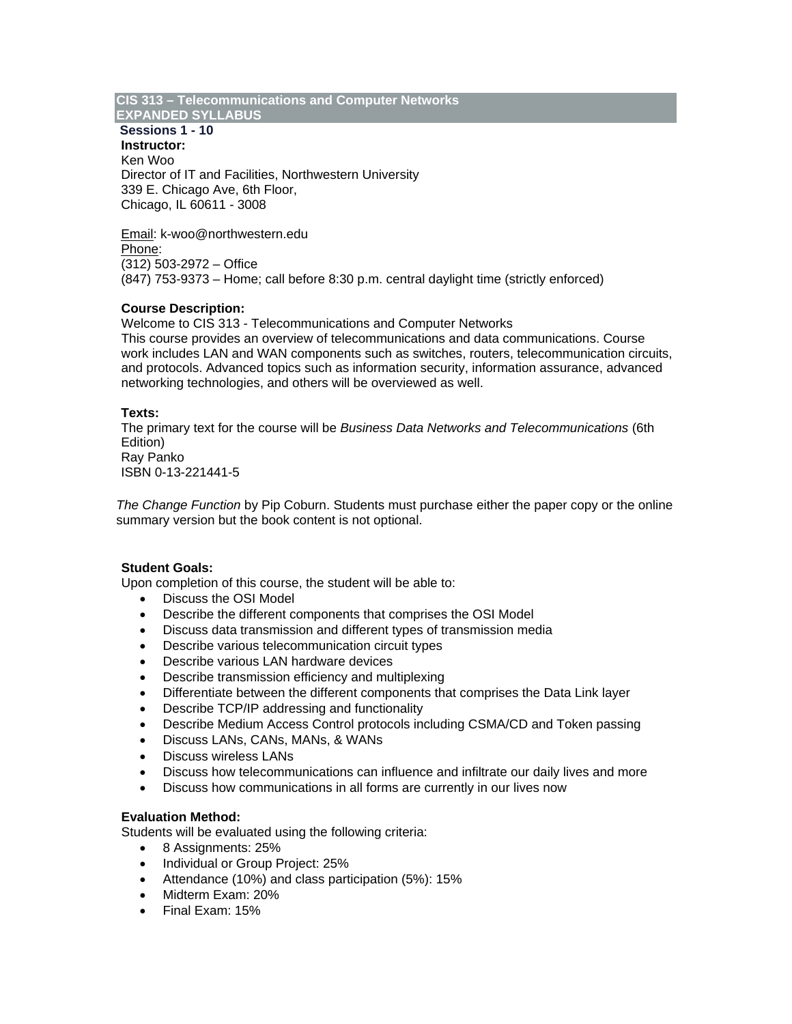## **CIS 313 – Telecommunications and Computer Networks**

# **EXPANDED SYLLABUS**

 **Sessions 1 - 10 Instructor:** Ken Woo Director of IT and Facilities, Northwestern University 339 E. Chicago Ave, 6th Floor, Chicago, IL 60611 - 3008

Email: k-woo@northwestern.edu Phone: (312) 503-2972 – Office (847) 753-9373 – Home; call before 8:30 p.m. central daylight time (strictly enforced)

### **Course Description:**

Welcome to CIS 313 - Telecommunications and Computer Networks This course provides an overview of telecommunications and data communications. Course work includes LAN and WAN components such as switches, routers, telecommunication circuits, and protocols. Advanced topics such as information security, information assurance, advanced networking technologies, and others will be overviewed as well.

### **Texts:**

The primary text for the course will be *Business Data Networks and Telecommunications* (6th Edition) Ray Panko ISBN 0-13-221441-5

*The Change Function* by Pip Coburn. Students must purchase either the paper copy or the online summary version but the book content is not optional.

### **Student Goals:**

Upon completion of this course, the student will be able to:

- Discuss the OSI Model
- Describe the different components that comprises the OSI Model
- Discuss data transmission and different types of transmission media
- Describe various telecommunication circuit types
- Describe various LAN hardware devices
- Describe transmission efficiency and multiplexing
- Differentiate between the different components that comprises the Data Link layer
- Describe TCP/IP addressing and functionality
- Describe Medium Access Control protocols including CSMA/CD and Token passing
- Discuss LANs, CANs, MANs, & WANs
- Discuss wireless LANs
- Discuss how telecommunications can influence and infiltrate our daily lives and more
- Discuss how communications in all forms are currently in our lives now

### **Evaluation Method:**

Students will be evaluated using the following criteria:

- 8 Assignments: 25%
- Individual or Group Project: 25%
- Attendance (10%) and class participation (5%): 15%
- Midterm Exam: 20%
- Final Exam: 15%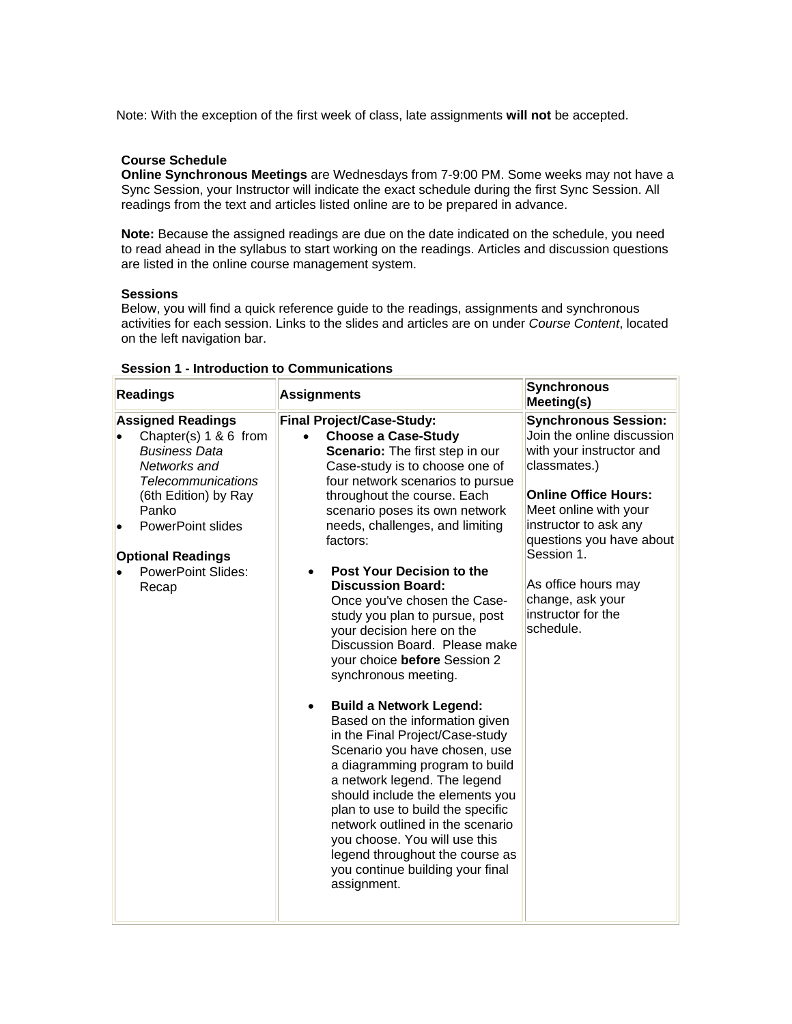Note: With the exception of the first week of class, late assignments **will not** be accepted.

#### **Course Schedule**

**Online Synchronous Meetings** are Wednesdays from 7-9:00 PM. Some weeks may not have a Sync Session, your Instructor will indicate the exact schedule during the first Sync Session. All readings from the text and articles listed online are to be prepared in advance.

**Note:** Because the assigned readings are due on the date indicated on the schedule, you need to read ahead in the syllabus to start working on the readings. Articles and discussion questions are listed in the online course management system.

#### **Sessions**

Below, you will find a quick reference guide to the readings, assignments and synchronous activities for each session. Links to the slides and articles are on under *Course Content*, located on the left navigation bar.

| <b>Readings</b>                                                                                                                                         | <b>Assignments</b>                                                                                                                                                                                                                                                                                                                                                                                                                                                                                                                                                                                                                                                                              | <b>Synchronous</b><br>Meeting(s)                                                                                                                              |
|---------------------------------------------------------------------------------------------------------------------------------------------------------|-------------------------------------------------------------------------------------------------------------------------------------------------------------------------------------------------------------------------------------------------------------------------------------------------------------------------------------------------------------------------------------------------------------------------------------------------------------------------------------------------------------------------------------------------------------------------------------------------------------------------------------------------------------------------------------------------|---------------------------------------------------------------------------------------------------------------------------------------------------------------|
| <b>Assigned Readings</b><br>Chapter(s) 1 & 6 from<br><b>Business Data</b><br>Networks and<br><b>Telecommunications</b><br>(6th Edition) by Ray<br>Panko | <b>Final Project/Case-Study:</b><br><b>Choose a Case-Study</b><br>$\bullet$<br>Scenario: The first step in our<br>Case-study is to choose one of<br>four network scenarios to pursue<br>throughout the course. Each<br>scenario poses its own network                                                                                                                                                                                                                                                                                                                                                                                                                                           | <b>Synchronous Session:</b><br>Join the online discussion<br>with your instructor and<br>classmates.)<br><b>Online Office Hours:</b><br>Meet online with your |
| <b>PowerPoint slides</b>                                                                                                                                | needs, challenges, and limiting<br>factors:                                                                                                                                                                                                                                                                                                                                                                                                                                                                                                                                                                                                                                                     | instructor to ask any<br>questions you have about                                                                                                             |
| <b>Optional Readings</b><br><b>PowerPoint Slides:</b><br>Recap                                                                                          | Post Your Decision to the<br>٠<br><b>Discussion Board:</b><br>Once you've chosen the Case-<br>study you plan to pursue, post<br>your decision here on the<br>Discussion Board. Please make<br>your choice before Session 2<br>synchronous meeting.<br><b>Build a Network Legend:</b><br>Based on the information given<br>in the Final Project/Case-study<br>Scenario you have chosen, use<br>a diagramming program to build<br>a network legend. The legend<br>should include the elements you<br>plan to use to build the specific<br>network outlined in the scenario<br>you choose. You will use this<br>legend throughout the course as<br>you continue building your final<br>assignment. | Session 1.<br>As office hours may<br>change, ask your<br>instructor for the<br>schedule.                                                                      |

#### **Session 1 - Introduction to Communications**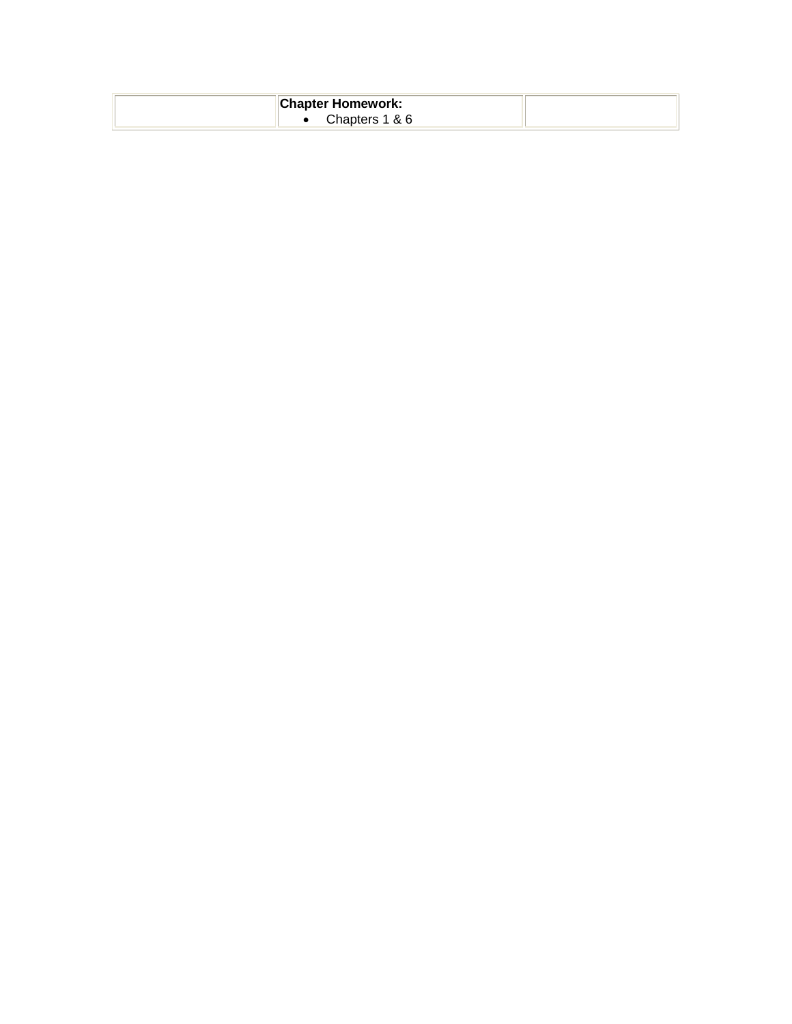| <b>Chapter Homework:</b> |  |
|--------------------------|--|
| Chapters 1 & 6           |  |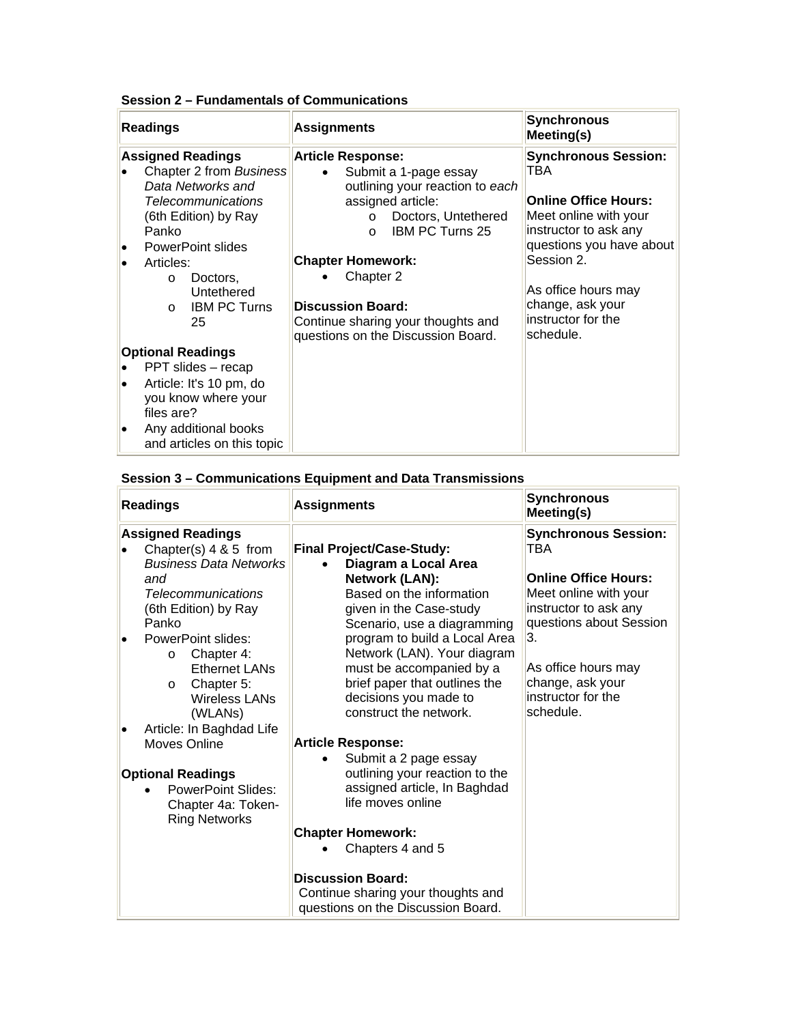| Session 2 – Fundamentals of Communications |  |  |
|--------------------------------------------|--|--|
|--------------------------------------------|--|--|

|                 | <b>Readings</b>                                                                                                                                                                                                                                        | <b>Assignments</b>                                                                                                                                                                                                                                                                                                                               | <b>Synchronous</b><br>Meeting(s)                                                                                                                                                                                                            |  |
|-----------------|--------------------------------------------------------------------------------------------------------------------------------------------------------------------------------------------------------------------------------------------------------|--------------------------------------------------------------------------------------------------------------------------------------------------------------------------------------------------------------------------------------------------------------------------------------------------------------------------------------------------|---------------------------------------------------------------------------------------------------------------------------------------------------------------------------------------------------------------------------------------------|--|
| l.<br>$\bullet$ | <b>Assigned Readings</b><br>Chapter 2 from Business<br>Data Networks and<br><b>Telecommunications</b><br>(6th Edition) by Ray<br>Panko<br>PowerPoint slides<br>Articles:<br>Doctors,<br>$\circ$<br>Untethered<br><b>IBM PC Turns</b><br>$\Omega$<br>25 | <b>Article Response:</b><br>Submit a 1-page essay<br>$\bullet$<br>outlining your reaction to each<br>assigned article:<br>Doctors, Untethered<br>$\Omega$<br><b>IBM PC Turns 25</b><br>$\Omega$<br><b>Chapter Homework:</b><br>Chapter 2<br><b>Discussion Board:</b><br>Continue sharing your thoughts and<br>questions on the Discussion Board. | <b>Synchronous Session:</b><br>TBA<br><b>Online Office Hours:</b><br>Meet online with your<br>instructor to ask any<br>questions you have about<br>Session 2.<br>As office hours may<br>change, ask your<br>instructor for the<br>schedule. |  |
|                 | <b>Optional Readings</b>                                                                                                                                                                                                                               |                                                                                                                                                                                                                                                                                                                                                  |                                                                                                                                                                                                                                             |  |
|                 | PPT slides - recap                                                                                                                                                                                                                                     |                                                                                                                                                                                                                                                                                                                                                  |                                                                                                                                                                                                                                             |  |
| $\bullet$       | Article: It's 10 pm, do                                                                                                                                                                                                                                |                                                                                                                                                                                                                                                                                                                                                  |                                                                                                                                                                                                                                             |  |
|                 | you know where your<br>files are?                                                                                                                                                                                                                      |                                                                                                                                                                                                                                                                                                                                                  |                                                                                                                                                                                                                                             |  |
| $\bullet$       | Any additional books<br>and articles on this topic                                                                                                                                                                                                     |                                                                                                                                                                                                                                                                                                                                                  |                                                                                                                                                                                                                                             |  |

# **Session 3 – Communications Equipment and Data Transmissions**

| <b>Readings</b>                             | <b>Assignments</b>                                           | <b>Synchronous</b><br>Meeting(s) |
|---------------------------------------------|--------------------------------------------------------------|----------------------------------|
| <b>Assigned Readings</b>                    |                                                              | <b>Synchronous Session:</b>      |
| Chapter(s) 4 & 5 from                       | <b>Final Project/Case-Study:</b>                             | TBA                              |
| <b>Business Data Networks</b>               | Diagram a Local Area                                         |                                  |
| and                                         | Network (LAN):                                               | <b>Online Office Hours:</b>      |
| <b>Telecommunications</b>                   | Based on the information                                     | Meet online with your            |
| (6th Edition) by Ray                        | given in the Case-study                                      | instructor to ask any            |
| Panko                                       | Scenario, use a diagramming                                  | questions about Session<br>3.    |
| PowerPoint slides:<br>Chapter 4:<br>$\circ$ | program to build a Local Area<br>Network (LAN). Your diagram |                                  |
| <b>Ethernet LANs</b>                        | must be accompanied by a                                     | As office hours may              |
| Chapter 5:<br>$\circ$                       | brief paper that outlines the                                | change, ask your                 |
| <b>Wireless LANs</b>                        | decisions you made to                                        | instructor for the               |
| (WLAN <sub>S</sub> )                        | construct the network.                                       | schedule.                        |
| Article: In Baghdad Life                    |                                                              |                                  |
| Moves Online                                | <b>Article Response:</b>                                     |                                  |
|                                             | Submit a 2 page essay                                        |                                  |
| <b>Optional Readings</b>                    | outlining your reaction to the                               |                                  |
| <b>PowerPoint Slides:</b>                   | assigned article, In Baghdad                                 |                                  |
| Chapter 4a: Token-                          | life moves online                                            |                                  |
| <b>Ring Networks</b>                        | <b>Chapter Homework:</b>                                     |                                  |
|                                             | Chapters 4 and 5                                             |                                  |
|                                             |                                                              |                                  |
|                                             | <b>Discussion Board:</b>                                     |                                  |
|                                             | Continue sharing your thoughts and                           |                                  |
|                                             | questions on the Discussion Board.                           |                                  |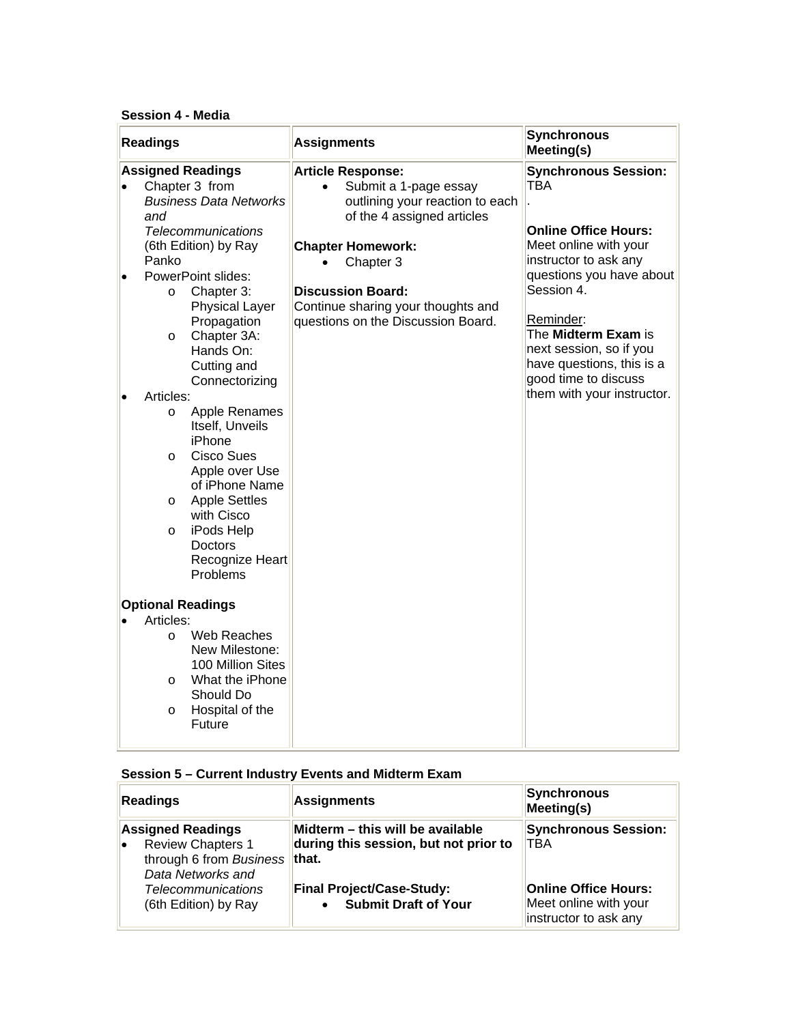### **Session 4 - Media**

| <b>Assigned Readings</b><br><b>Synchronous Session:</b><br><b>Article Response:</b><br><b>TBA</b><br>Chapter 3 from<br>Submit a 1-page essay<br><b>Business Data Networks</b><br>outlining your reaction to each<br>and<br>of the 4 assigned articles<br><b>Online Office Hours:</b><br><b>Telecommunications</b><br>Meet online with your<br>(6th Edition) by Ray<br><b>Chapter Homework:</b><br>instructor to ask any<br>Panko<br>Chapter 3<br>PowerPoint slides:<br>$\bullet$<br>Session 4.<br><b>Discussion Board:</b><br>Chapter 3:<br>$\circ$<br><b>Physical Layer</b><br>Continue sharing your thoughts and<br>Reminder:<br>questions on the Discussion Board.<br>Propagation<br>The Midterm Exam is<br>Chapter 3A:<br>$\circ$<br>next session, so if you<br>Hands On:<br>have questions, this is a<br>Cutting and<br>good time to discuss<br>Connectorizing<br>them with your instructor.<br>Articles:<br>Apple Renames<br>$\circ$<br>Itself, Unveils<br>iPhone<br><b>Cisco Sues</b><br>$\circ$<br>Apple over Use<br>of iPhone Name<br><b>Apple Settles</b><br>$\circ$<br>with Cisco<br>iPods Help<br>O<br>Doctors<br>Recognize Heart<br>Problems<br><b>Optional Readings</b><br>Articles:<br>Web Reaches<br>$\circ$<br>New Milestone:<br>100 Million Sites<br>What the iPhone<br>O<br>Should Do<br>Hospital of the<br>$\circ$ | <b>Readings</b> | <b>Assignments</b> | <b>Synchronous</b><br>Meeting(s) |
|----------------------------------------------------------------------------------------------------------------------------------------------------------------------------------------------------------------------------------------------------------------------------------------------------------------------------------------------------------------------------------------------------------------------------------------------------------------------------------------------------------------------------------------------------------------------------------------------------------------------------------------------------------------------------------------------------------------------------------------------------------------------------------------------------------------------------------------------------------------------------------------------------------------------------------------------------------------------------------------------------------------------------------------------------------------------------------------------------------------------------------------------------------------------------------------------------------------------------------------------------------------------------------------------------------------------------------------|-----------------|--------------------|----------------------------------|
|                                                                                                                                                                                                                                                                                                                                                                                                                                                                                                                                                                                                                                                                                                                                                                                                                                                                                                                                                                                                                                                                                                                                                                                                                                                                                                                                        | Future          |                    | questions you have about         |

## **Session 5 – Current Industry Events and Midterm Exam**

| Readings                                                                                                           | <b>Assignments</b>                                                           | Synchronous<br>Meeting(s)                                                     |  |
|--------------------------------------------------------------------------------------------------------------------|------------------------------------------------------------------------------|-------------------------------------------------------------------------------|--|
| <b>Assigned Readings</b><br><b>Review Chapters 1</b><br>۱e<br>through 6 from Business   that.<br>Data Networks and | Midterm – this will be available<br>during this session, but not prior to    | <b>Synchronous Session:</b><br><b>TBA</b>                                     |  |
| <b>Telecommunications</b><br>(6th Edition) by Ray                                                                  | <b>Final Project/Case-Study:</b><br><b>Submit Draft of Your</b><br>$\bullet$ | <b>Online Office Hours:</b><br>Meet online with your<br>instructor to ask any |  |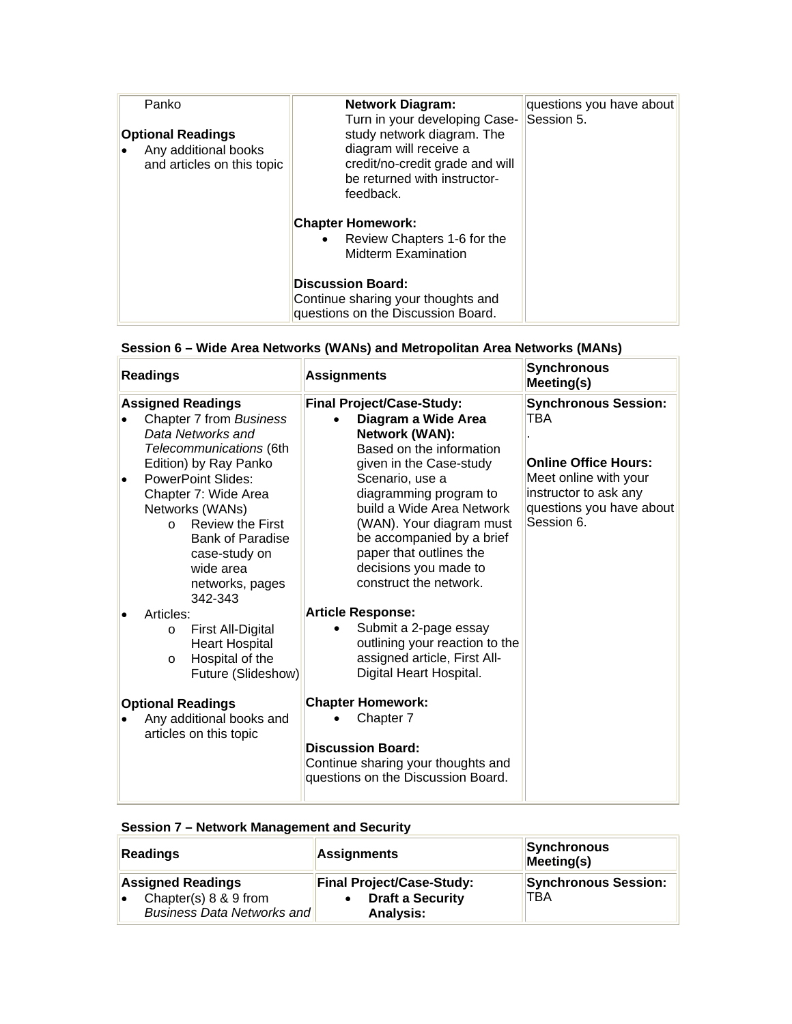| Panko<br><b>Optional Readings</b><br>Any additional books<br>۱o<br>and articles on this topic | <b>Network Diagram:</b><br>Turn in your developing Case- Session 5.<br>study network diagram. The<br>diagram will receive a<br>credit/no-credit grade and will<br>be returned with instructor-<br>feedback. | questions you have about |
|-----------------------------------------------------------------------------------------------|-------------------------------------------------------------------------------------------------------------------------------------------------------------------------------------------------------------|--------------------------|
|                                                                                               | <b>Chapter Homework:</b><br>• Review Chapters 1-6 for the<br><b>Midterm Examination</b>                                                                                                                     |                          |
|                                                                                               | <b>Discussion Board:</b><br>Continue sharing your thoughts and<br>questions on the Discussion Board.                                                                                                        |                          |

| <b>Readings</b>                 |                                                                                                                                                                                                                                                                                          | <b>Assignments</b>                                                                                                                                                                                                                                                                                                      | <b>Synchronous</b><br>Meeting(s)                                                                                                                              |
|---------------------------------|------------------------------------------------------------------------------------------------------------------------------------------------------------------------------------------------------------------------------------------------------------------------------------------|-------------------------------------------------------------------------------------------------------------------------------------------------------------------------------------------------------------------------------------------------------------------------------------------------------------------------|---------------------------------------------------------------------------------------------------------------------------------------------------------------|
| $\Omega$                        | <b>Assigned Readings</b><br>Chapter 7 from Business<br>Data Networks and<br>Telecommunications (6th<br>Edition) by Ray Panko<br><b>PowerPoint Slides:</b><br>Chapter 7: Wide Area<br>Networks (WANs)<br><b>Review the First</b><br><b>Bank of Paradise</b><br>case-study on<br>wide area | <b>Final Project/Case-Study:</b><br>Diagram a Wide Area<br>Network (WAN):<br>Based on the information<br>given in the Case-study<br>Scenario, use a<br>diagramming program to<br>build a Wide Area Network<br>(WAN). Your diagram must<br>be accompanied by a brief<br>paper that outlines the<br>decisions you made to | <b>Synchronous Session:</b><br>TBA<br><b>Online Office Hours:</b><br>Meet online with your<br>instructor to ask any<br>questions you have about<br>Session 6. |
| Articles:<br>$\circ$<br>$\circ$ | networks, pages<br>342-343<br>First All-Digital<br><b>Heart Hospital</b><br>Hospital of the<br>Future (Slideshow)                                                                                                                                                                        | construct the network.<br><b>Article Response:</b><br>Submit a 2-page essay<br>outlining your reaction to the<br>assigned article, First All-<br>Digital Heart Hospital.                                                                                                                                                |                                                                                                                                                               |
|                                 | <b>Optional Readings</b><br>Any additional books and<br>articles on this topic                                                                                                                                                                                                           | <b>Chapter Homework:</b><br>Chapter 7<br><b>Discussion Board:</b><br>Continue sharing your thoughts and<br>questions on the Discussion Board.                                                                                                                                                                           |                                                                                                                                                               |

# **Session 6 – Wide Area Networks (WANs) and Metropolitan Area Networks (MANs)**

 $\sim$ 

## **Session 7 – Network Management and Security**

| Readings                                                  | <b>Assignments</b>                          | Synchronous<br>Meeting(s)   |  |
|-----------------------------------------------------------|---------------------------------------------|-----------------------------|--|
| <b>Assigned Readings</b>                                  | <b>Final Project/Case-Study:</b>            | <b>Synchronous Session:</b> |  |
| Chapter(s) 8 & 9 from<br>I۰<br>Business Data Networks and | <b>Draft a Security</b><br><b>Analysis:</b> | TBA                         |  |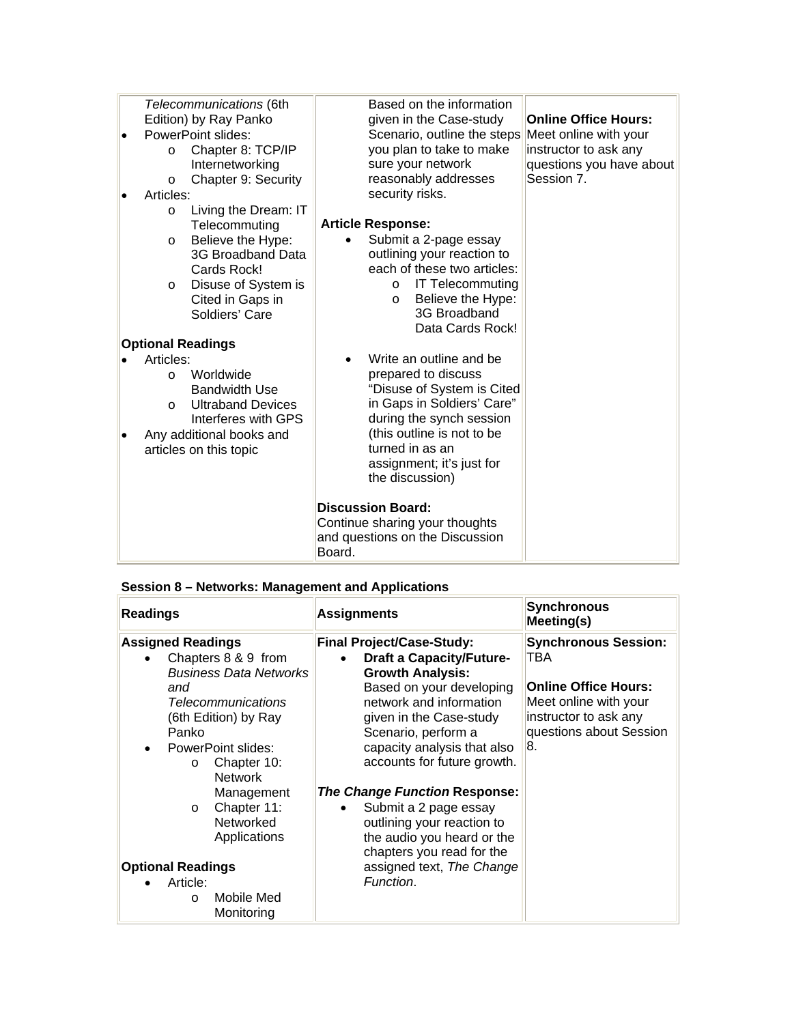| Telecommunications (6th              | Based on the information           |                             |
|--------------------------------------|------------------------------------|-----------------------------|
| Edition) by Ray Panko                | given in the Case-study            | <b>Online Office Hours:</b> |
| PowerPoint slides:                   | Scenario, outline the steps        | Meet online with your       |
| Chapter 8: TCP/IP<br>$\circ$         | you plan to take to make           | instructor to ask any       |
| Internetworking                      | sure your network                  | questions you have about    |
| Chapter 9: Security<br>$\circ$       | reasonably addresses               | Session 7.                  |
| Articles:                            | security risks.                    |                             |
| Living the Dream: IT<br>$\circ$      |                                    |                             |
| Telecommuting                        | <b>Article Response:</b>           |                             |
| Believe the Hype:<br>$\circ$         | Submit a 2-page essay              |                             |
| 3G Broadband Data                    | outlining your reaction to         |                             |
| Cards Rock!                          | each of these two articles:        |                             |
| Disuse of System is<br>$\circ$       | <b>IT Telecommuting</b><br>$\circ$ |                             |
| Cited in Gaps in                     | Believe the Hype:<br>$\circ$       |                             |
| Soldiers' Care                       | 3G Broadband                       |                             |
|                                      | Data Cards Rock!                   |                             |
| <b>Optional Readings</b>             |                                    |                             |
| Articles:                            | Write an outline and be            |                             |
| Worldwide<br>$\Omega$                | prepared to discuss                |                             |
| <b>Bandwidth Use</b>                 | "Disuse of System is Cited         |                             |
| <b>Ultraband Devices</b><br>$\Omega$ | in Gaps in Soldiers' Care"         |                             |
| Interferes with GPS                  | during the synch session           |                             |
| Any additional books and             | (this outline is not to be         |                             |
| articles on this topic               | turned in as an                    |                             |
|                                      | assignment; it's just for          |                             |
|                                      | the discussion)                    |                             |
|                                      |                                    |                             |
|                                      | <b>Discussion Board:</b>           |                             |
|                                      | Continue sharing your thoughts     |                             |
|                                      | and questions on the Discussion    |                             |
|                                      | Board.                             |                             |
|                                      |                                    |                             |

|  | Session 8 - Networks: Management and Applications |
|--|---------------------------------------------------|
|--|---------------------------------------------------|

| <b>Readings</b>                                                                                                                                                                                                                                                                                                                                                                    | <b>Assignments</b>                                                                                                                                                                                                                                                                                                                                                                                                                                                                     | <b>Synchronous</b><br>Meeting(s)                                                                                                                     |
|------------------------------------------------------------------------------------------------------------------------------------------------------------------------------------------------------------------------------------------------------------------------------------------------------------------------------------------------------------------------------------|----------------------------------------------------------------------------------------------------------------------------------------------------------------------------------------------------------------------------------------------------------------------------------------------------------------------------------------------------------------------------------------------------------------------------------------------------------------------------------------|------------------------------------------------------------------------------------------------------------------------------------------------------|
| <b>Assigned Readings</b><br>Chapters 8 & 9 from<br><b>Business Data Networks</b><br>and<br><b>Telecommunications</b><br>(6th Edition) by Ray<br>Panko<br><b>PowerPoint slides:</b><br>Chapter 10:<br>$\circ$<br><b>Network</b><br>Management<br>Chapter 11:<br>$\circ$<br>Networked<br>Applications<br><b>Optional Readings</b><br>Article:<br>Mobile Med<br>$\circ$<br>Monitoring | <b>Final Project/Case-Study:</b><br><b>Draft a Capacity/Future-</b><br><b>Growth Analysis:</b><br>Based on your developing<br>network and information<br>given in the Case-study<br>Scenario, perform a<br>capacity analysis that also<br>accounts for future growth.<br><b>The Change Function Response:</b><br>Submit a 2 page essay<br>$\bullet$<br>outlining your reaction to<br>the audio you heard or the<br>chapters you read for the<br>assigned text, The Change<br>Function. | <b>Synchronous Session:</b><br>TBA<br><b>Online Office Hours:</b><br>Meet online with your<br>instructor to ask any<br>questions about Session<br>8. |